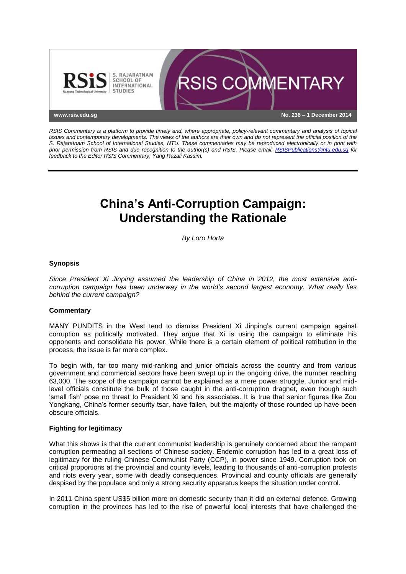

*RSIS Commentary is a platform to provide timely and, where appropriate, policy-relevant commentary and analysis of topical issues and contemporary developments. The views of the authors are their own and do not represent the official position of the S. Rajaratnam School of International Studies, NTU. These commentaries may be reproduced electronically or in print with prior permission from RSIS and due recognition to the author(s) and RSIS. Please email: [RSISPublications@ntu.edu.sg](mailto:RSISPublications@ntu.edu.sg) for feedback to the Editor RSIS Commentary, Yang Razali Kassim.*

# **China's Anti-Corruption Campaign: Understanding the Rationale**

*By Loro Horta*

## **Synopsis**

*Since President Xi Jinping assumed the leadership of China in 2012, the most extensive anticorruption campaign has been underway in the world's second largest economy. What really lies behind the current campaign?*

### **Commentary**

MANY PUNDITS in the West tend to dismiss President Xi Jinping's current campaign against corruption as politically motivated. They argue that Xi is using the campaign to eliminate his opponents and consolidate his power. While there is a certain element of political retribution in the process, the issue is far more complex.

To begin with, far too many mid-ranking and junior officials across the country and from various government and commercial sectors have been swept up in the ongoing drive, the number reaching 63,000. The scope of the campaign cannot be explained as a mere power struggle. Junior and midlevel officials constitute the bulk of those caught in the anti-corruption dragnet, even though such 'small fish' pose no threat to President Xi and his associates. It is true that senior figures like Zou Yongkang, China's former security tsar, have fallen, but the majority of those rounded up have been obscure officials.

### **Fighting for legitimacy**

What this shows is that the current communist leadership is genuinely concerned about the rampant corruption permeating all sections of Chinese society. Endemic corruption has led to a great loss of legitimacy for the ruling Chinese Communist Party (CCP), in power since 1949. Corruption took on critical proportions at the provincial and county levels, leading to thousands of anti-corruption protests and riots every year, some with deadly consequences. Provincial and county officials are generally despised by the populace and only a strong security apparatus keeps the situation under control.

In 2011 China spent US\$5 billion more on domestic security than it did on external defence. Growing corruption in the provinces has led to the rise of powerful local interests that have challenged the